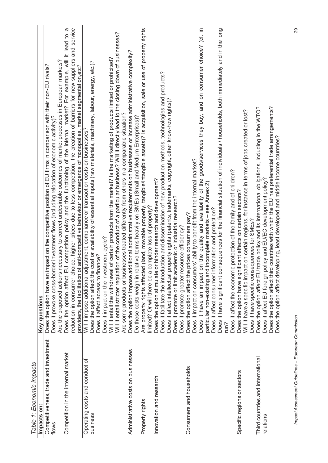| Table 1: Economic impacts                      |                                                                                                                                                                                                                                                                                                                                |
|------------------------------------------------|--------------------------------------------------------------------------------------------------------------------------------------------------------------------------------------------------------------------------------------------------------------------------------------------------------------------------------|
| Impacts on:                                    | Key questions                                                                                                                                                                                                                                                                                                                  |
| Competitiveness, trade and investment<br>flows | Are the proposed actions necessary to correct undesirable outcomes of market processes in European markets?<br>impact on the competitive position of EU firms in comparison with their non-EU rivals?<br>Does it provoke cross-border investment flows (including relocation of economic activity)?<br>Does the option have an |
| Competition in the internal market             | reduction in consumer choice, higher prices due to less competition, the creation of barriers for new suppliers and service<br>ω<br>EU competition policy and the functioning of the internal market? For example, will it lead to<br>Does the option affect                                                                   |
|                                                | providers, the facilitation of anti-competitive behaviour or emergence of monopolies, market segmentation,etc?                                                                                                                                                                                                                 |
| Operating costs and conduct of<br>business     | Does the option affect the cost or availability of essential inputs (raw materials, machinery, labour, energy, etc.)?<br>Will it impose additional adjustment, compliance or transaction costs on businesses?                                                                                                                  |
|                                                | Does it affect access to finance?                                                                                                                                                                                                                                                                                              |
|                                                | Will it entail the withdrawal of certain products from the market? Is the marketing of products limited or prohibited?<br>Does it impact on the investment cycle?                                                                                                                                                              |
|                                                | Will it entail stricter regulation of the conduct of a particular business? Will it directly lead to the closing down of businesses?                                                                                                                                                                                           |
|                                                | Are some products or businesses treated differently from others in a comparable situation?                                                                                                                                                                                                                                     |
| Administrative costs on businesses             | additional administrative requirements on businesses or increase administrative complexity?<br>relative terms heavily on SMEs (Small and Medium Enterprises)?<br>Do these costs weigh in<br>Does the option impose                                                                                                             |
| Property rights                                | Are property rights affected (land, movable property, tangible/intangible assets)? Is acquisition, sale or use of property rights<br>limited? Or will there be a complete loss of property?                                                                                                                                    |
| Innovation and research                        | Does the option stimulate or hinder research and development?                                                                                                                                                                                                                                                                  |
|                                                |                                                                                                                                                                                                                                                                                                                                |
|                                                | Does it facilitate the introduction and dissemination of new production methods, technologies and products?<br>Does it affect intellectual property rights (patents, trademarks, copyright, other know-how rights)?                                                                                                            |
|                                                | Does it promote or limit academic or industrial research?<br>Does it promote greater resource efficiency?                                                                                                                                                                                                                      |
|                                                |                                                                                                                                                                                                                                                                                                                                |
| Consumers and households                       | Does the option affect the prices consumers pay?                                                                                                                                                                                                                                                                               |
|                                                | Does it impact on consumers' ability to benefit from the internal market?                                                                                                                                                                                                                                                      |
|                                                | on the quality and availability of the goods/services they buy, and on consumer choice? (cf. in<br>Does it have an impact                                                                                                                                                                                                      |
|                                                | nd incomplete markets - see Annex 2)<br>particular non-existing ar                                                                                                                                                                                                                                                             |
|                                                | information and protection?<br>Does it affect consumer                                                                                                                                                                                                                                                                         |
|                                                | Does it have significant consequences for the financial situation of individuals / households, both immediately and in the long                                                                                                                                                                                                |
|                                                | run?                                                                                                                                                                                                                                                                                                                           |
|                                                | Does it affect the economic protection of the family and of children?                                                                                                                                                                                                                                                          |
| Specific regions or sectors                    | Does the option have significant effects on certain sectors?                                                                                                                                                                                                                                                                   |
|                                                | Will it have a specific impact on certain regions, for instance in terms of jobs created or lost?                                                                                                                                                                                                                              |
|                                                | sequences for SMEs?<br>Does it have specific con                                                                                                                                                                                                                                                                               |
| Third countries and international<br>relations | Does the option affect EU trade policy and its international obligations, including in the WTO?<br>Does it affect EU foreign policy and EU/EC development policy?                                                                                                                                                              |
|                                                | Does the option affect third countries with which the EU has preferential trade arrangements?                                                                                                                                                                                                                                  |
|                                                | Does the option affect developing, least developed and middle income countries?                                                                                                                                                                                                                                                |
|                                                |                                                                                                                                                                                                                                                                                                                                |

*Impact Assessment Guidelines – European Commission* 29 Impact Assessment Guidelines - European Commission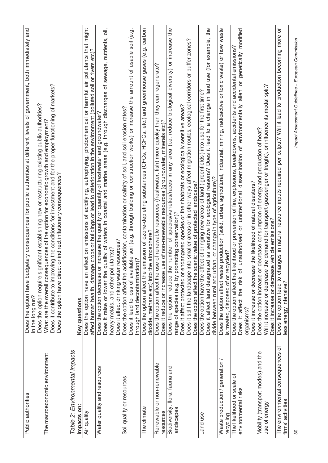| Public authorities                                     | getary consequences for public authorities at different levels of government, both immediately and<br>Does the option have bud                                                                                                                                                                                                              |
|--------------------------------------------------------|---------------------------------------------------------------------------------------------------------------------------------------------------------------------------------------------------------------------------------------------------------------------------------------------------------------------------------------------|
|                                                        | gnificant establishing new or restructuring existing public authorities?<br>Does the option require si<br>in the long run?                                                                                                                                                                                                                  |
| The macroeconomic environment                          | Does it contribute to improving the conditions for investment and for the proper functioning of markets?<br>What are the overall consequences of the option for economic growth and employment?<br>Does the option have direct or indirect inflationary consequences?                                                                       |
| Table 2: Environmental impacts                         |                                                                                                                                                                                                                                                                                                                                             |
| Impacts on:                                            | Key questions                                                                                                                                                                                                                                                                                                                               |
| Air quality                                            | photochemical or harmful air pollutants that might<br>affect human health, damage crops or buildings or lead to deterioration in the environment (polluted soil or rivers etc)?<br>eutrophying,<br>effect on emissions of acidifying,<br>Does the option have an                                                                            |
| Water quality and resources                            | quality of waters in coastal and marine areas (e.g. through discharges of sewage, nutrients, oil,<br>or increase the quality or quantity of freshwater and groundwater?<br>Does it affect drinking water resources?<br>heavy metals, and other pollutants)?<br>Does it raise or lower the<br>Does the option decrease                       |
| Soil quality or resources                              | Does it lead to loss of available soil (e.g. through building or construction works) or increase the amount of usable soil (e.g.<br>Does the option affect the acidification, contamination or salinity of soil, and soil erosion rates?<br>through land decontamination)?                                                                  |
| The climate                                            | gases (e.g. carbon<br>emission of ozone-depleting substances (CFCs, HCFCs, etc.) and greenhouse<br>the atmosphere?<br>Does the option affect the<br>dioxide, methane etc) into                                                                                                                                                              |
| Renewable or non-renewable<br>resources                | use of renewable resources (freshwater, fish) more quickly than they can regenerate?<br>Does it reduce or increase use of non-renewable resources (groundwater, minerals etc)?<br>Does the option affect the                                                                                                                                |
| Biodiversity, flora, fauna and<br>landscapes           | Does the option reduce the number of species/varieties/races in any area (i.e. reduce biological diversity) or increase the<br>Does it affect protected or endangered species or their habitats or ecologically sensitive areas?<br>range of species (e.g. by promoting conservation)?                                                      |
|                                                        | Does it split the landscape into smaller areas or in other ways affect migration routes, ecological corridors or buffer zones?<br>Does the option affect the scenic value of protected landscape?                                                                                                                                           |
| Land use                                               | Does it affect land designated as sensitive for ecological reasons? Does it lead to a change in land use (for example, the<br>Does the option have the effect of bringing new areas of land ('greenfields') into use for the first time?<br>divide between rural and urban, or change in type of agriculture)?                              |
| Waste production / generation<br>recycling             | Does the option affect waste production (solid, urban, agricultural, industrial, mining, radioactive or toxic waste) or how waste<br>is treated, disposed of or recycled?                                                                                                                                                                   |
| The likelihood or scale of<br>environmental risks      | it affect the risk of unauthorised or unintentional dissemination of environmentally alien or genetically modified<br>ikelihood or prevention of fire, explosions, breakdowns, accidents and accidental emissions?<br>Does it increase or decrease the likelihood of natural disasters?<br>Does the option affect the<br>organisms?<br>Does |
| Mobility (transport modes) and the<br>use of energy    | Will it increase or decrease the demand for transport (passenger or freight), or influence its modal split?<br>Does the option increase or decrease consumption of energy and production of heat?<br>Does it increase or decrease vehicle emissions?                                                                                        |
| The environmental consequences of<br>firms' activities | ŏ<br>Does the option lead to changes in natural resource inputs required per output? Will it lead to production becoming more<br>ess energy intensive?                                                                                                                                                                                      |
|                                                        |                                                                                                                                                                                                                                                                                                                                             |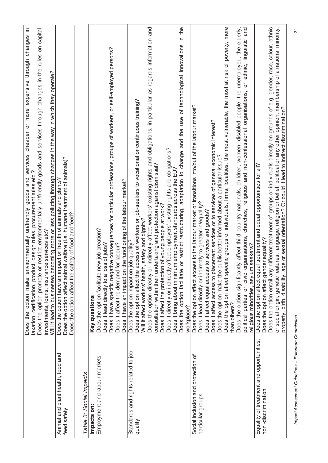|                                                                | Does the option make environmentally un/friendly goods and services cheaper or more expensive through changes in<br>Does the option promote or restrict environmentally un/friendly goods and services through changes in the rules on capital<br>taxation, certification, product, design rules, procurement rules etc.?<br>investments, loans, insurance services etc?            |
|----------------------------------------------------------------|-------------------------------------------------------------------------------------------------------------------------------------------------------------------------------------------------------------------------------------------------------------------------------------------------------------------------------------------------------------------------------------|
|                                                                | Will it lead to businesses becoming more or less polluting through changes in the way in which they operate?                                                                                                                                                                                                                                                                        |
| Animal and plant health, food and<br>feed safety               | Does the option have an impact on health of animals and plants?<br>Does the option affect animal welfare (i.e. humane treatment of animals)?<br>Does the option affect the safety of food and feed?                                                                                                                                                                                 |
| Table 3: Social impacts                                        |                                                                                                                                                                                                                                                                                                                                                                                     |
| Impacts on:                                                    | Key questions                                                                                                                                                                                                                                                                                                                                                                       |
| Employment and labour markets                                  | Does it have specific negative consequences for particular professions, groups of workers, or self-employed persons?<br>the functioning of the labour market?<br>Does the option facilitate new job creation?<br>Does it lead directly to a loss of jobs?<br>for labour?<br>Does it have an impact on<br>Does it affect the demand                                                  |
| Standards and rights related to job<br>quality                 | access of workers or job-seekers to vocational or continuous training?<br>Will it affect workers' health, safety and dignity?<br>Does the option impact on job quality?<br>Does the option affect the                                                                                                                                                                               |
|                                                                | Does the option directly or indirectly affect workers' existing rights and obligations, in particular as regards information and<br>consultation within their undertaking and protection against dismissal?                                                                                                                                                                         |
|                                                                | Does it directly or indirectly affect employers' existing rights and obligations?<br>Does it affect the protection of young people at work?                                                                                                                                                                                                                                         |
|                                                                | or restrict restructuring, adaptation to change and the use of technological innovations in the<br>Does it bring about minimum employment standards across the EU?<br>Does the option facilitate<br>workplace?                                                                                                                                                                      |
| Social inclusion and protection of<br>particular groups        | Does the option affect access to the labour market or transitions into/out of the labour market?<br>Does it affect access to placement services or to services of general economic interest?<br>Does it lead directly or indirectly to greater in/equality?<br>Does it affect equal access to services and goods?                                                                   |
|                                                                | Does the option affect specific groups of individuals, firms, localities, the most vulnerable, the most at risk of poverty, more<br>Does the option make the public better informed about a particular issue?                                                                                                                                                                       |
|                                                                | Does the option significantly affect third country nationals, children, women, disabled people, the unemployed, the elderly,<br>than others?                                                                                                                                                                                                                                        |
|                                                                | or ethnic, linguistic and<br>and non-confessional organisations,<br>political parties or civic organisations, churches, religious<br>religious minorities, asylum seekers?                                                                                                                                                                                                          |
| Equality of treatment and opportunities,<br>non-discrimination | Does the option affect equal treatment and equal opportunities for all?<br>Does the option affect gender equality?                                                                                                                                                                                                                                                                  |
|                                                                | different treatment of groups or individuals directly on grounds of e.g. gender, race, colour, ethnic<br>or social origin, genetic features, language, religion or belief, political or any other opinion, membership of a national minority,<br>property, birth, disability, age or sexual orientation? Or could it lead to indirect discrimination?<br>Does the option entail any |
|                                                                |                                                                                                                                                                                                                                                                                                                                                                                     |

*Impact Assessment Guidelines – European Commission* 31 Impact Assessment Guidelines - European Commission